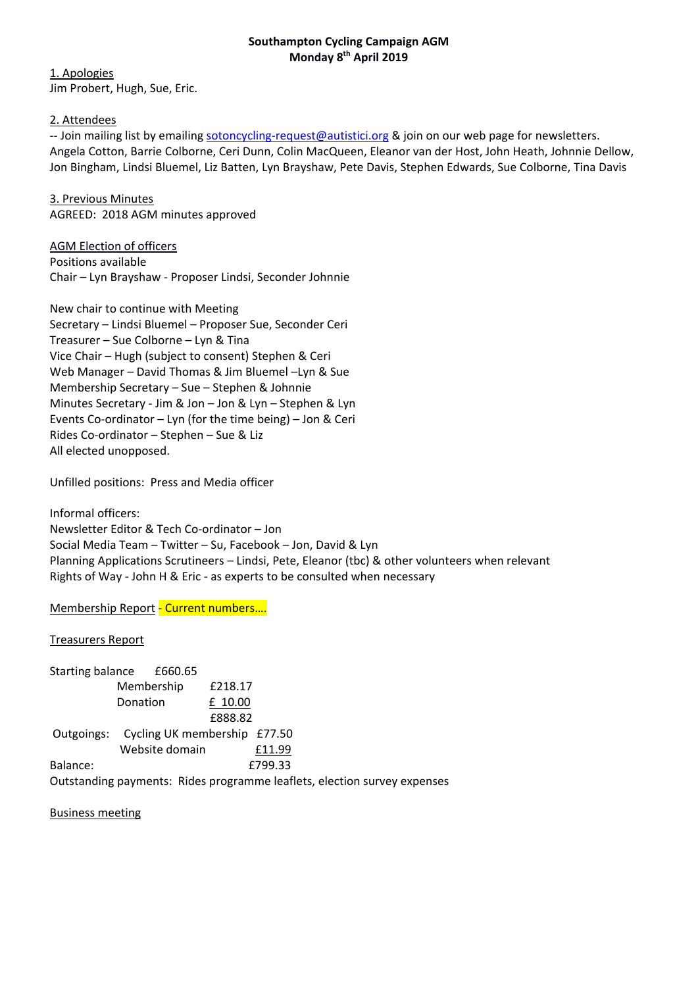## **Southampton Cycling Campaign AGM Monday 8th April 2019**

1. Apologies Jim Probert, Hugh, Sue, Eric.

2. Attendees

-- Join mailing list by emailing sotoncycling-request@autistici.org & join on our web page for newsletters. Angela Cotton, Barrie Colborne, Ceri Dunn, Colin MacQueen, Eleanor van der Host, John Heath, Johnnie Dellow, Jon Bingham, Lindsi Bluemel, Liz Batten, Lyn Brayshaw, Pete Davis, Stephen Edwards, Sue Colborne, Tina Davis

3. Previous Minutes AGREED: 2018 AGM minutes approved

AGM Election of officers Positions available Chair – Lyn Brayshaw ‐ Proposer Lindsi, Seconder Johnnie

New chair to continue with Meeting Secretary – Lindsi Bluemel – Proposer Sue, Seconder Ceri Treasurer – Sue Colborne – Lyn & Tina Vice Chair – Hugh (subject to consent) Stephen & Ceri Web Manager – David Thomas & Jim Bluemel –Lyn & Sue Membership Secretary – Sue – Stephen & Johnnie Minutes Secretary ‐ Jim & Jon – Jon & Lyn – Stephen & Lyn Events Co‐ordinator – Lyn (for the time being) – Jon & Ceri Rides Co‐ordinator – Stephen – Sue & Liz All elected unopposed.

Unfilled positions: Press and Media officer

Informal officers: Newsletter Editor & Tech Co‐ordinator – Jon Social Media Team – Twitter – Su, Facebook – Jon, David & Lyn Planning Applications Scrutineers – Lindsi, Pete, Eleanor (tbc) & other volunteers when relevant Rights of Way ‐ John H & Eric ‐ as experts to be consulted when necessary

Membership Report ‐ Current numbers….

Treasurers Report Starting balance £660.65 Membership £218.17 Donation **E** 10.00 £888.82 Outgoings: Cycling UK membership £77.50 Website domain £11.99 Balance: 6. 2010 12:33 Outstanding payments: Rides programme leaflets, election survey expenses

Business meeting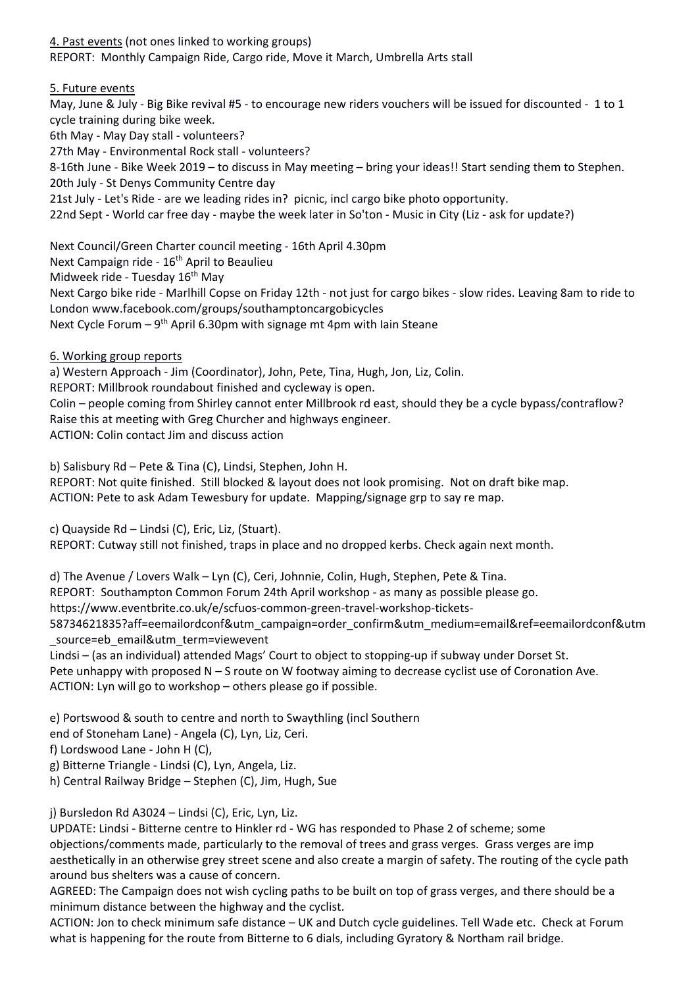4. Past events (not ones linked to working groups) REPORT: Monthly Campaign Ride, Cargo ride, Move it March, Umbrella Arts stall

5. Future events

May, June & July - Big Bike revival #5 - to encourage new riders vouchers will be issued for discounted - 1 to 1 cycle training during bike week. 6th May ‐ May Day stall ‐ volunteers? 27th May ‐ Environmental Rock stall ‐ volunteers? 8‐16th June ‐ Bike Week 2019 – to discuss in May meeting – bring your ideas!! Start sending them to Stephen. 20th July ‐ St Denys Community Centre day 21st July ‐ Let's Ride ‐ are we leading rides in? picnic, incl cargo bike photo opportunity. 22nd Sept ‐ World car free day ‐ maybe the week later in So'ton ‐ Music in City (Liz ‐ ask for update?) Next Council/Green Charter council meeting ‐ 16th April 4.30pm

Next Campaign ride - 16<sup>th</sup> April to Beaulieu Midweek ride - Tuesday 16<sup>th</sup> May Next Cargo bike ride ‐ Marlhill Copse on Friday 12th ‐ not just for cargo bikes ‐ slow rides. Leaving 8am to ride to London www.facebook.com/groups/southamptoncargobicycles Next Cycle Forum –  $9<sup>th</sup>$  April 6.30pm with signage mt 4pm with Iain Steane

6. Working group reports

a) Western Approach ‐ Jim (Coordinator), John, Pete, Tina, Hugh, Jon, Liz, Colin.

REPORT: Millbrook roundabout finished and cycleway is open.

Colin – people coming from Shirley cannot enter Millbrook rd east, should they be a cycle bypass/contraflow? Raise this at meeting with Greg Churcher and highways engineer.

ACTION: Colin contact Jim and discuss action

b) Salisbury Rd – Pete & Tina (C), Lindsi, Stephen, John H.

REPORT: Not quite finished. Still blocked & layout does not look promising. Not on draft bike map. ACTION: Pete to ask Adam Tewesbury for update. Mapping/signage grp to say re map.

c) Quayside Rd – Lindsi (C), Eric, Liz, (Stuart).

REPORT: Cutway still not finished, traps in place and no dropped kerbs. Check again next month.

d) The Avenue / Lovers Walk – Lyn (C), Ceri, Johnnie, Colin, Hugh, Stephen, Pete & Tina.

REPORT: Southampton Common Forum 24th April workshop ‐ as many as possible please go.

https://www.eventbrite.co.uk/e/scfuos‐common‐green‐travel‐workshop‐tickets‐

58734621835?aff=eemailordconf&utm\_campaign=order\_confirm&utm\_medium=email&ref=eemailordconf&utm source=eb email&utm term=viewevent

Lindsi – (as an individual) attended Mags' Court to object to stopping‐up if subway under Dorset St.

Pete unhappy with proposed N – S route on W footway aiming to decrease cyclist use of Coronation Ave. ACTION: Lyn will go to workshop – others please go if possible.

e) Portswood & south to centre and north to Swaythling (incl Southern

end of Stoneham Lane) ‐ Angela (C), Lyn, Liz, Ceri.

f) Lordswood Lane ‐ John H (C),

g) Bitterne Triangle ‐ Lindsi (C), Lyn, Angela, Liz.

h) Central Railway Bridge – Stephen (C), Jim, Hugh, Sue

j) Bursledon Rd A3024 – Lindsi (C), Eric, Lyn, Liz.

UPDATE: Lindsi ‐ Bitterne centre to Hinkler rd ‐ WG has responded to Phase 2 of scheme; some objections/comments made, particularly to the removal of trees and grass verges. Grass verges are imp aesthetically in an otherwise grey street scene and also create a margin of safety. The routing of the cycle path around bus shelters was a cause of concern.

AGREED: The Campaign does not wish cycling paths to be built on top of grass verges, and there should be a minimum distance between the highway and the cyclist.

ACTION: Jon to check minimum safe distance – UK and Dutch cycle guidelines. Tell Wade etc. Check at Forum what is happening for the route from Bitterne to 6 dials, including Gyratory & Northam rail bridge.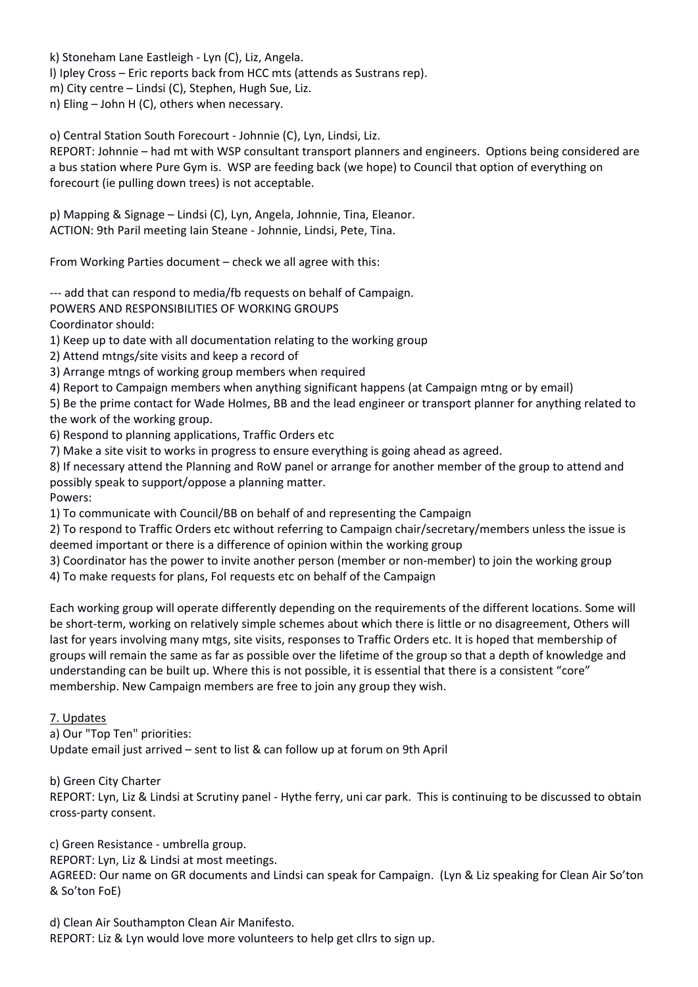k) Stoneham Lane Eastleigh ‐ Lyn (C), Liz, Angela.

l) Ipley Cross – Eric reports back from HCC mts (attends as Sustrans rep).

m) City centre – Lindsi (C), Stephen, Hugh Sue, Liz.

n) Eling – John H (C), others when necessary.

o) Central Station South Forecourt ‐ Johnnie (C), Lyn, Lindsi, Liz.

REPORT: Johnnie – had mt with WSP consultant transport planners and engineers. Options being considered are a bus station where Pure Gym is. WSP are feeding back (we hope) to Council that option of everything on forecourt (ie pulling down trees) is not acceptable.

p) Mapping & Signage – Lindsi (C), Lyn, Angela, Johnnie, Tina, Eleanor. ACTION: 9th Paril meeting Iain Steane ‐ Johnnie, Lindsi, Pete, Tina.

From Working Parties document – check we all agree with this:

--- add that can respond to media/fb requests on behalf of Campaign.

POWERS AND RESPONSIBILITIES OF WORKING GROUPS

Coordinator should:

1) Keep up to date with all documentation relating to the working group

2) Attend mtngs/site visits and keep a record of

3) Arrange mtngs of working group members when required

4) Report to Campaign members when anything significant happens (at Campaign mtng or by email)

5) Be the prime contact for Wade Holmes, BB and the lead engineer or transport planner for anything related to the work of the working group.

6) Respond to planning applications, Traffic Orders etc

7) Make a site visit to works in progress to ensure everything is going ahead as agreed.

8) If necessary attend the Planning and RoW panel or arrange for another member of the group to attend and possibly speak to support/oppose a planning matter.

Powers:

1) To communicate with Council/BB on behalf of and representing the Campaign

2) To respond to Traffic Orders etc without referring to Campaign chair/secretary/members unless the issue is deemed important or there is a difference of opinion within the working group

3) Coordinator has the power to invite another person (member or non‐member) to join the working group

4) To make requests for plans, FoI requests etc on behalf of the Campaign

Each working group will operate differently depending on the requirements of the different locations. Some will be short-term, working on relatively simple schemes about which there is little or no disagreement, Others will last for years involving many mtgs, site visits, responses to Traffic Orders etc. It is hoped that membership of groups will remain the same as far as possible over the lifetime of the group so that a depth of knowledge and understanding can be built up. Where this is not possible, it is essential that there is a consistent "core" membership. New Campaign members are free to join any group they wish.

## 7. Updates

a) Our "Top Ten" priorities:

Update email just arrived – sent to list & can follow up at forum on 9th April

b) Green City Charter

REPORT: Lyn, Liz & Lindsi at Scrutiny panel ‐ Hythe ferry, uni car park. This is continuing to be discussed to obtain cross‐party consent.

c) Green Resistance ‐ umbrella group.

REPORT: Lyn, Liz & Lindsi at most meetings.

AGREED: Our name on GR documents and Lindsi can speak for Campaign. (Lyn & Liz speaking for Clean Air So'ton & So'ton FoE)

d) Clean Air Southampton Clean Air Manifesto. REPORT: Liz & Lyn would love more volunteers to help get cllrs to sign up.